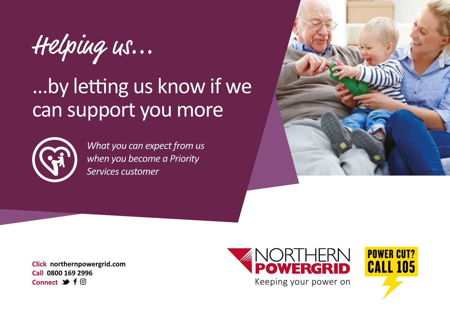Helping us...

# ...by letting us know if we can support you more



*What you can expect from us when you become a Priority Services customer*



**Click northernpowergrid.com Call 0800 169 2996 Connect → f**  $\textcircled{a}$ 



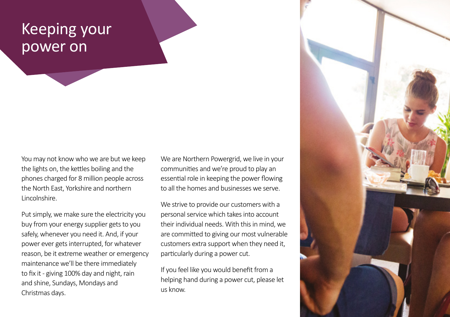## Keeping your power on

You may not know who we are but we keep the lights on, the kettles boiling and the phones charged for 8 million people across the North East, Yorkshire and northern Lincolnshire.

Put simply, we make sure the electricity you buy from your energy supplier gets to you safely, whenever you need it. And, if your power ever gets interrupted, for whatever reason, be it extreme weather or emergency maintenance we'll be there immediately to fix it - giving 100% day and night, rain and shine, Sundays, Mondays and Christmas days.

We are Northern Powergrid, we live in your communities and we're proud to play an essential role in keeping the power flowing to all the homes and businesses we serve.

We strive to provide our customers with a personal service which takes into account their individual needs. With this in mind, we are committed to giving our most vulnerable customers extra support when they need it, particularly during a power cut.

If you feel like you would benefit from a helping hand during a power cut, please let us know.

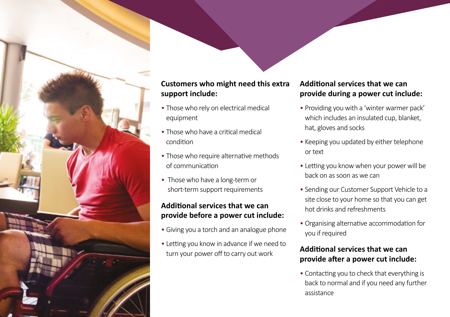

#### **Customers who might need this extra support include:**

- Those who rely on electrical medical equipment
- Those who have a critical medical condition
- Those who require alternative methods of communication
- Those who have a long-term or short-term support requirements

#### **Additional services that we can provide before a power cut include:**

- Giving you a torch and an analogue phone
- Letting you know in advance if we need to turn your power off to carry out work

### **Additional services that we can provide during a power cut include:**

- Providing you with a 'winter warmer pack' which includes an insulated cup, blanket, hat, gloves and socks
- Keeping you updated by either telephone or text
- Letting you know when your power will be back on as soon as we can
- Sending our Customer Support Vehicle to a site close to your home so that you can get hot drinks and refreshments
- Organising alternative accommodation for you if required

#### **Additional services that we can provide after a power cut include:**

• Contacting you to check that everything is back to normal and if you need any further assistance